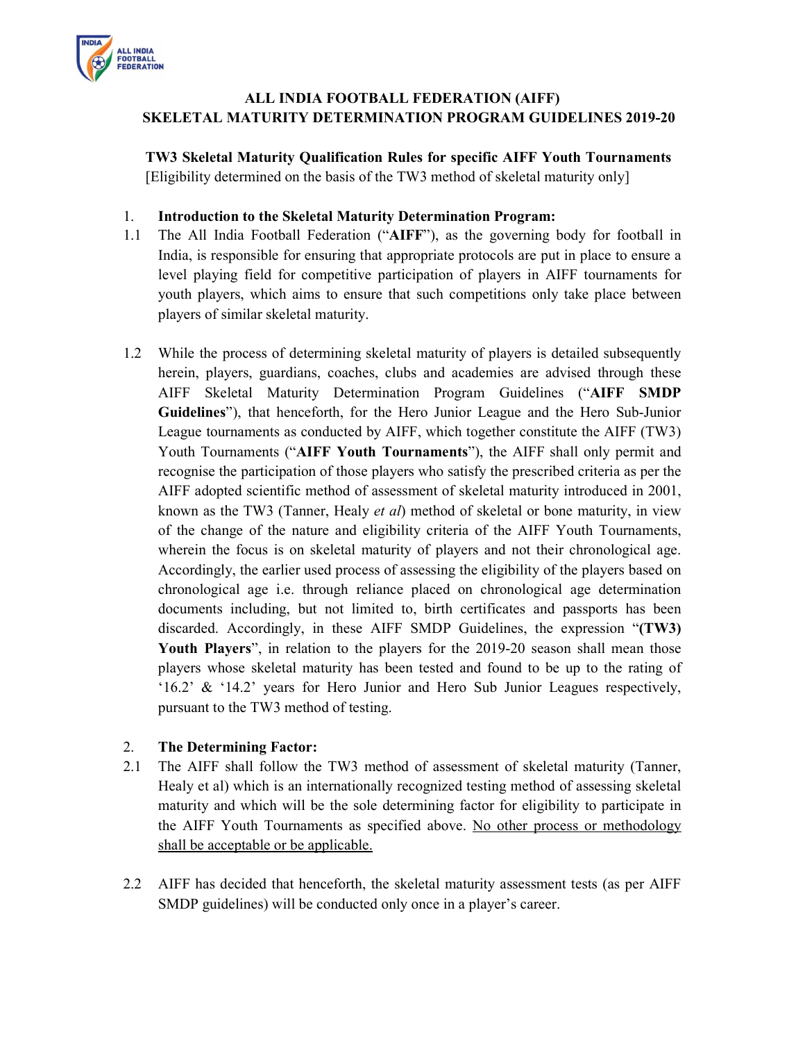

## ALL INDIA FOOTBALL FEDERATION (AIFF) SKELETAL MATURITY DETERMINATION PROGRAM GUIDELINES 2019-20

TW3 Skeletal Maturity Qualification Rules for specific AIFF Youth Tournaments [Eligibility determined on the basis of the TW3 method of skeletal maturity only]

#### 1. Introduction to the Skeletal Maturity Determination Program:

- 1.1 The All India Football Federation ("AIFF"), as the governing body for football in India, is responsible for ensuring that appropriate protocols are put in place to ensure a level playing field for competitive participation of players in AIFF tournaments for youth players, which aims to ensure that such competitions only take place between players of similar skeletal maturity.
- 1.2 While the process of determining skeletal maturity of players is detailed subsequently herein, players, guardians, coaches, clubs and academies are advised through these AIFF Skeletal Maturity Determination Program Guidelines ("AIFF SMDP Guidelines"), that henceforth, for the Hero Junior League and the Hero Sub-Junior League tournaments as conducted by AIFF, which together constitute the AIFF (TW3) Youth Tournaments ("AIFF Youth Tournaments"), the AIFF shall only permit and recognise the participation of those players who satisfy the prescribed criteria as per the AIFF adopted scientific method of assessment of skeletal maturity introduced in 2001, known as the TW3 (Tanner, Healy et al) method of skeletal or bone maturity, in view of the change of the nature and eligibility criteria of the AIFF Youth Tournaments, wherein the focus is on skeletal maturity of players and not their chronological age. Accordingly, the earlier used process of assessing the eligibility of the players based on chronological age i.e. through reliance placed on chronological age determination documents including, but not limited to, birth certificates and passports has been discarded. Accordingly, in these AIFF SMDP Guidelines, the expression "(TW3) Youth Players", in relation to the players for the 2019-20 season shall mean those players whose skeletal maturity has been tested and found to be up to the rating of '16.2' & '14.2' years for Hero Junior and Hero Sub Junior Leagues respectively, pursuant to the TW3 method of testing.

#### 2. The Determining Factor:

- 2.1 The AIFF shall follow the TW3 method of assessment of skeletal maturity (Tanner, Healy et al) which is an internationally recognized testing method of assessing skeletal maturity and which will be the sole determining factor for eligibility to participate in the AIFF Youth Tournaments as specified above. No other process or methodology shall be acceptable or be applicable.
- 2.2 AIFF has decided that henceforth, the skeletal maturity assessment tests (as per AIFF SMDP guidelines) will be conducted only once in a player's career.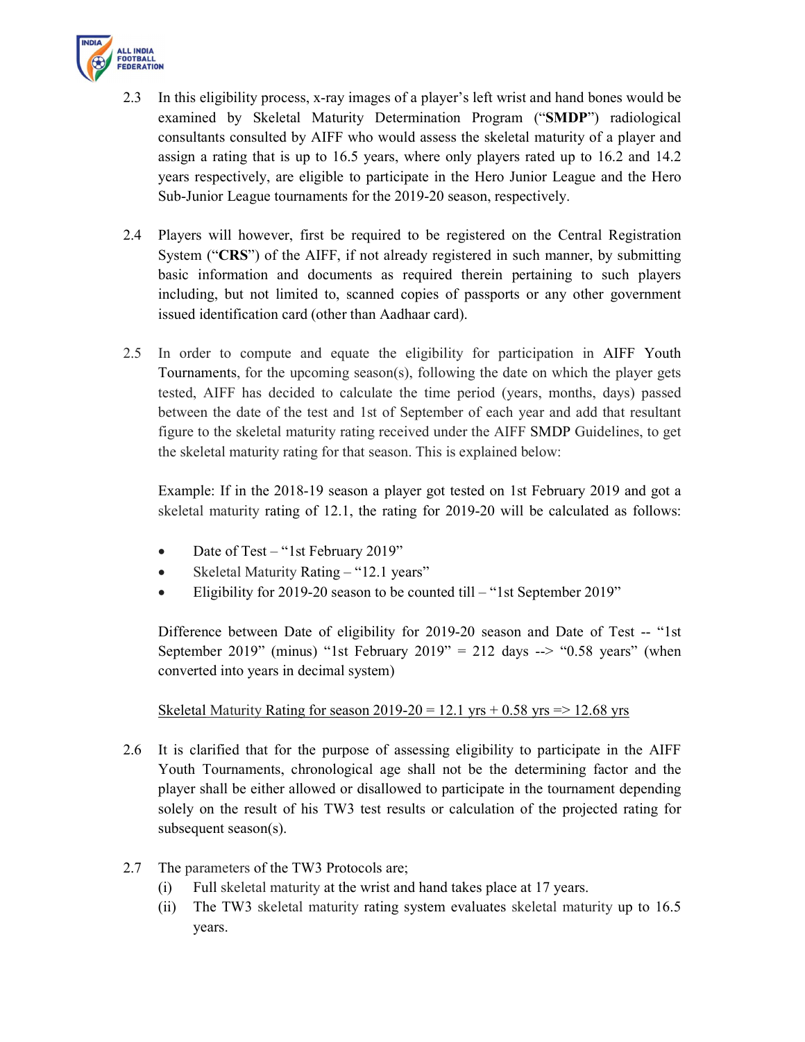

- 2.3 In this eligibility process, x-ray images of a player's left wrist and hand bones would be examined by Skeletal Maturity Determination Program ("SMDP") radiological consultants consulted by AIFF who would assess the skeletal maturity of a player and assign a rating that is up to 16.5 years, where only players rated up to 16.2 and 14.2 years respectively, are eligible to participate in the Hero Junior League and the Hero Sub-Junior League tournaments for the 2019-20 season, respectively.
- 2.4 Players will however, first be required to be registered on the Central Registration System ("CRS") of the AIFF, if not already registered in such manner, by submitting basic information and documents as required therein pertaining to such players including, but not limited to, scanned copies of passports or any other government issued identification card (other than Aadhaar card).
- 2.5 In order to compute and equate the eligibility for participation in AIFF Youth Tournaments, for the upcoming season(s), following the date on which the player gets tested, AIFF has decided to calculate the time period (years, months, days) passed between the date of the test and 1st of September of each year and add that resultant figure to the skeletal maturity rating received under the AIFF SMDP Guidelines, to get the skeletal maturity rating for that season. This is explained below:

 Example: If in the 2018-19 season a player got tested on 1st February 2019 and got a skeletal maturity rating of 12.1, the rating for 2019-20 will be calculated as follows:

- Date of Test "1st February 2019"
- Skeletal Maturity Rating "12.1 years"
- Eligibility for 2019-20 season to be counted till "1st September 2019"

Difference between Date of eligibility for 2019-20 season and Date of Test -- "1st September 2019" (minus) "1st February 2019" = 212 days --> "0.58 years" (when converted into years in decimal system)

Skeletal Maturity Rating for season 2019-20 = 12.1 yrs + 0.58 yrs =  $> 12.68$  yrs

- 2.6 It is clarified that for the purpose of assessing eligibility to participate in the AIFF Youth Tournaments, chronological age shall not be the determining factor and the player shall be either allowed or disallowed to participate in the tournament depending solely on the result of his TW3 test results or calculation of the projected rating for subsequent season(s).
- 2.7 The parameters of the TW3 Protocols are;
	- (i) Full skeletal maturity at the wrist and hand takes place at 17 years.
	- (ii) The TW3 skeletal maturity rating system evaluates skeletal maturity up to 16.5 years.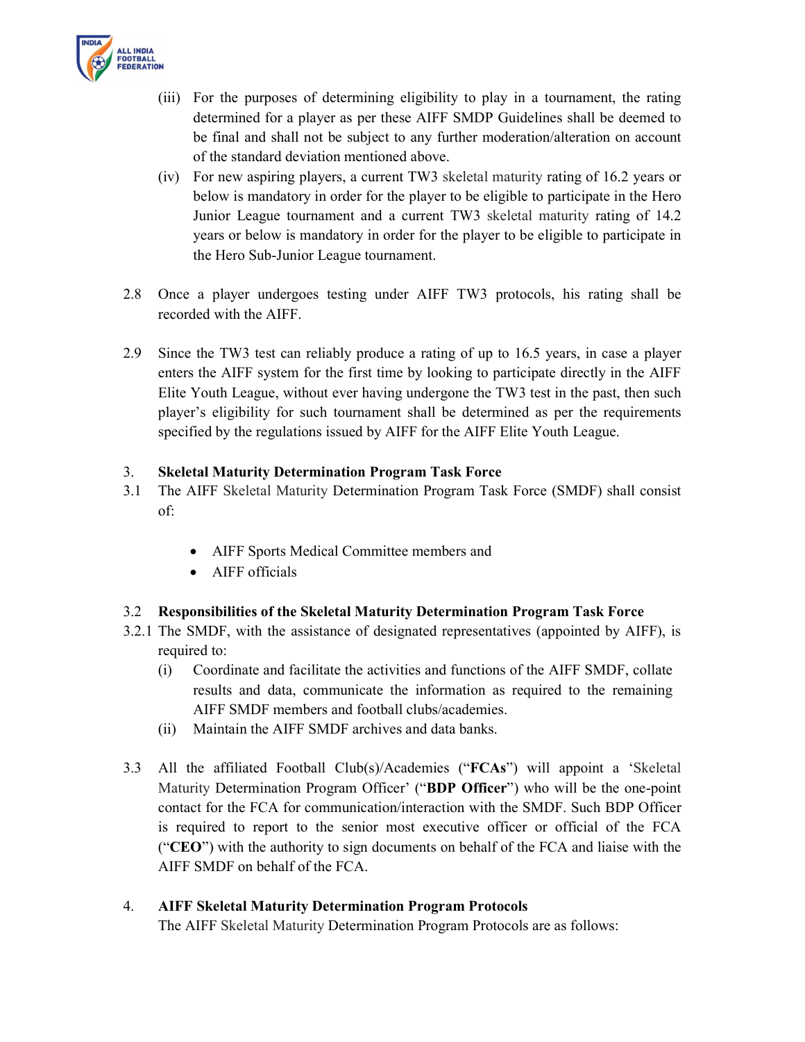

- (iii) For the purposes of determining eligibility to play in a tournament, the rating determined for a player as per these AIFF SMDP Guidelines shall be deemed to be final and shall not be subject to any further moderation/alteration on account of the standard deviation mentioned above.
- (iv) For new aspiring players, a current TW3 skeletal maturity rating of 16.2 years or below is mandatory in order for the player to be eligible to participate in the Hero Junior League tournament and a current TW3 skeletal maturity rating of 14.2 years or below is mandatory in order for the player to be eligible to participate in the Hero Sub-Junior League tournament.
- 2.8 Once a player undergoes testing under AIFF TW3 protocols, his rating shall be recorded with the AIFF.
- 2.9 Since the TW3 test can reliably produce a rating of up to 16.5 years, in case a player enters the AIFF system for the first time by looking to participate directly in the AIFF Elite Youth League, without ever having undergone the TW3 test in the past, then such player's eligibility for such tournament shall be determined as per the requirements specified by the regulations issued by AIFF for the AIFF Elite Youth League.

### 3. Skeletal Maturity Determination Program Task Force

- 3.1 The AIFF Skeletal Maturity Determination Program Task Force (SMDF) shall consist of:
	- AIFF Sports Medical Committee members and
	- AIFF officials

## 3.2 Responsibilities of the Skeletal Maturity Determination Program Task Force

- 3.2.1 The SMDF, with the assistance of designated representatives (appointed by AIFF), is required to:
	- (i) Coordinate and facilitate the activities and functions of the AIFF SMDF, collate results and data, communicate the information as required to the remaining AIFF SMDF members and football clubs/academies.
	- (ii) Maintain the AIFF SMDF archives and data banks.
- 3.3 All the affiliated Football Club(s)/Academies ("FCAs") will appoint a 'Skeletal Maturity Determination Program Officer' ("BDP Officer") who will be the one-point contact for the FCA for communication/interaction with the SMDF. Such BDP Officer is required to report to the senior most executive officer or official of the FCA ("CEO") with the authority to sign documents on behalf of the FCA and liaise with the AIFF SMDF on behalf of the FCA.

#### 4. AIFF Skeletal Maturity Determination Program Protocols

The AIFF Skeletal Maturity Determination Program Protocols are as follows: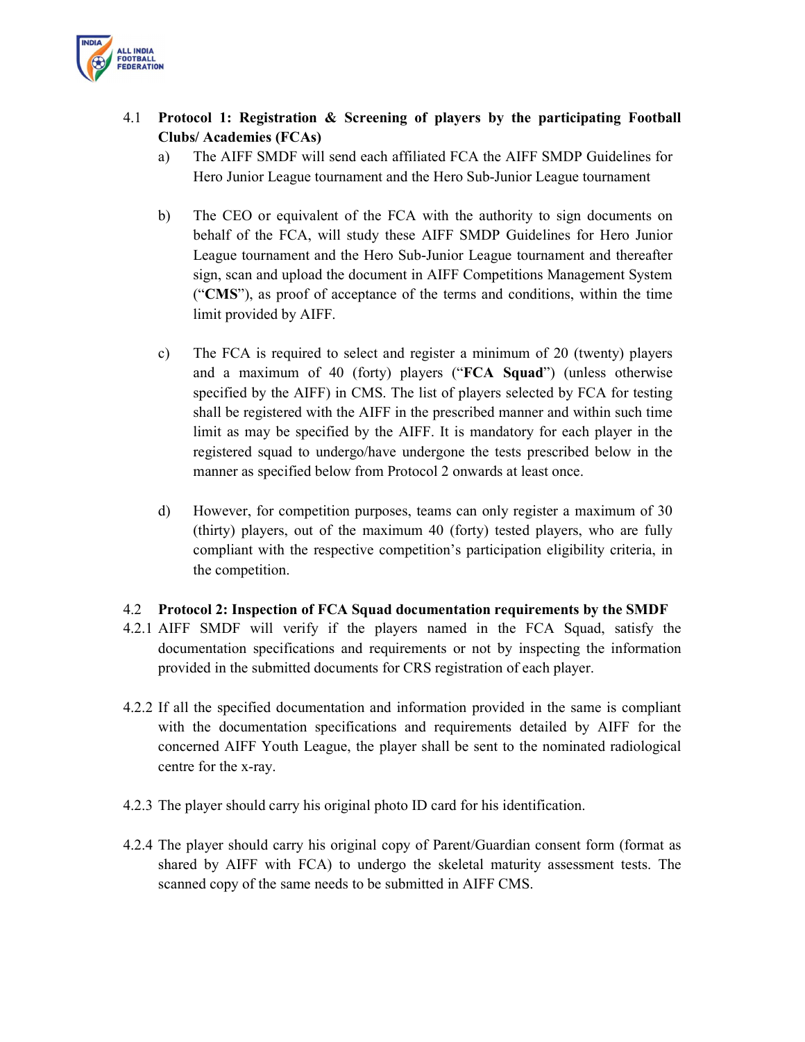

# 4.1 Protocol 1: Registration & Screening of players by the participating Football Clubs/ Academies (FCAs)

- a) The AIFF SMDF will send each affiliated FCA the AIFF SMDP Guidelines for Hero Junior League tournament and the Hero Sub-Junior League tournament
- b) The CEO or equivalent of the FCA with the authority to sign documents on behalf of the FCA, will study these AIFF SMDP Guidelines for Hero Junior League tournament and the Hero Sub-Junior League tournament and thereafter sign, scan and upload the document in AIFF Competitions Management System ("CMS"), as proof of acceptance of the terms and conditions, within the time limit provided by AIFF.
- c) The FCA is required to select and register a minimum of 20 (twenty) players and a maximum of 40 (forty) players ("FCA Squad") (unless otherwise specified by the AIFF) in CMS. The list of players selected by FCA for testing shall be registered with the AIFF in the prescribed manner and within such time limit as may be specified by the AIFF. It is mandatory for each player in the registered squad to undergo/have undergone the tests prescribed below in the manner as specified below from Protocol 2 onwards at least once.
- d) However, for competition purposes, teams can only register a maximum of 30 (thirty) players, out of the maximum 40 (forty) tested players, who are fully compliant with the respective competition's participation eligibility criteria, in the competition.

#### 4.2 Protocol 2: Inspection of FCA Squad documentation requirements by the SMDF

- 4.2.1 AIFF SMDF will verify if the players named in the FCA Squad, satisfy the documentation specifications and requirements or not by inspecting the information provided in the submitted documents for CRS registration of each player.
- 4.2.2 If all the specified documentation and information provided in the same is compliant with the documentation specifications and requirements detailed by AIFF for the concerned AIFF Youth League, the player shall be sent to the nominated radiological centre for the x-ray.
- 4.2.3 The player should carry his original photo ID card for his identification.
- 4.2.4 The player should carry his original copy of Parent/Guardian consent form (format as shared by AIFF with FCA) to undergo the skeletal maturity assessment tests. The scanned copy of the same needs to be submitted in AIFF CMS.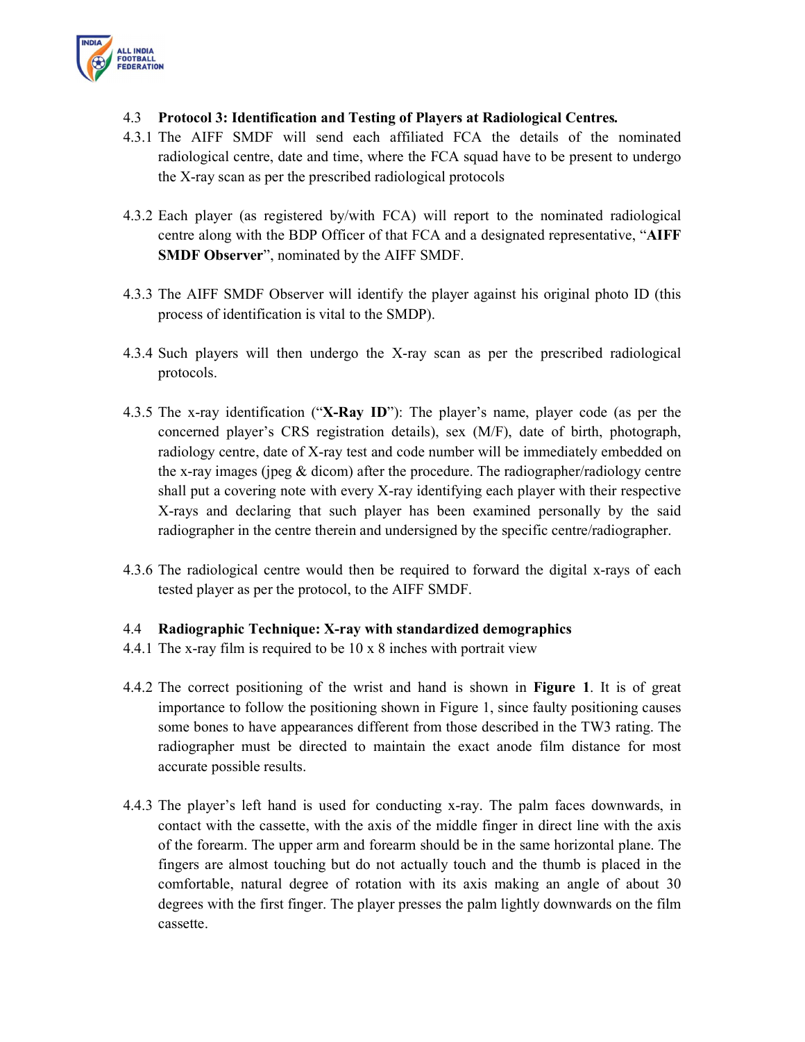

- 4.3 Protocol 3: Identification and Testing of Players at Radiological Centres.
- 4.3.1 The AIFF SMDF will send each affiliated FCA the details of the nominated radiological centre, date and time, where the FCA squad have to be present to undergo the X-ray scan as per the prescribed radiological protocols
- 4.3.2 Each player (as registered by/with FCA) will report to the nominated radiological centre along with the BDP Officer of that FCA and a designated representative, "AIFF SMDF Observer", nominated by the AIFF SMDF.
- 4.3.3 The AIFF SMDF Observer will identify the player against his original photo ID (this process of identification is vital to the SMDP).
- 4.3.4 Such players will then undergo the X-ray scan as per the prescribed radiological protocols.
- 4.3.5 The x-ray identification ("X-Ray ID"): The player's name, player code (as per the concerned player's CRS registration details), sex (M/F), date of birth, photograph, radiology centre, date of X-ray test and code number will be immediately embedded on the x-ray images (jpeg  $\&$  dicom) after the procedure. The radiographer/radiology centre shall put a covering note with every X-ray identifying each player with their respective X-rays and declaring that such player has been examined personally by the said radiographer in the centre therein and undersigned by the specific centre/radiographer.
- 4.3.6 The radiological centre would then be required to forward the digital x-rays of each tested player as per the protocol, to the AIFF SMDF.

#### 4.4 Radiographic Technique: X-ray with standardized demographics

- 4.4.1 The x-ray film is required to be 10 x 8 inches with portrait view
- 4.4.2 The correct positioning of the wrist and hand is shown in Figure 1. It is of great importance to follow the positioning shown in Figure 1, since faulty positioning causes some bones to have appearances different from those described in the TW3 rating. The radiographer must be directed to maintain the exact anode film distance for most accurate possible results.
- 4.4.3 The player's left hand is used for conducting x-ray. The palm faces downwards, in contact with the cassette, with the axis of the middle finger in direct line with the axis of the forearm. The upper arm and forearm should be in the same horizontal plane. The fingers are almost touching but do not actually touch and the thumb is placed in the comfortable, natural degree of rotation with its axis making an angle of about 30 degrees with the first finger. The player presses the palm lightly downwards on the film cassette.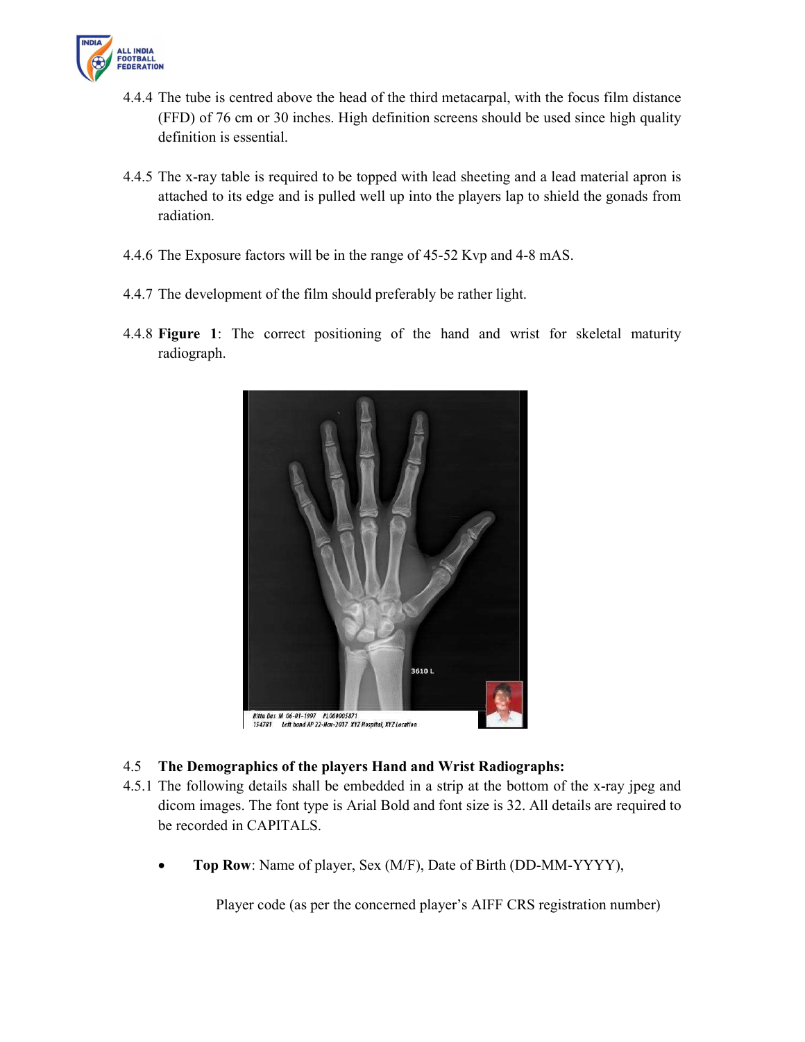

- 4.4.4 The tube is centred above the head of the third metacarpal, with the focus film distance (FFD) of 76 cm or 30 inches. High definition screens should be used since high quality definition is essential.
- 4.4.5 The x-ray table is required to be topped with lead sheeting and a lead material apron is attached to its edge and is pulled well up into the players lap to shield the gonads from radiation.
- 4.4.6 The Exposure factors will be in the range of 45-52 Kvp and 4-8 mAS.
- 4.4.7 The development of the film should preferably be rather light.
- 4.4.8 Figure 1: The correct positioning of the hand and wrist for skeletal maturity radiograph.



## 4.5 The Demographics of the players Hand and Wrist Radiographs:

- 4.5.1 The following details shall be embedded in a strip at the bottom of the x-ray jpeg and dicom images. The font type is Arial Bold and font size is 32. All details are required to be recorded in CAPITALS.
	- Top Row: Name of player, Sex (M/F), Date of Birth (DD-MM-YYYY),

Player code (as per the concerned player's AIFF CRS registration number)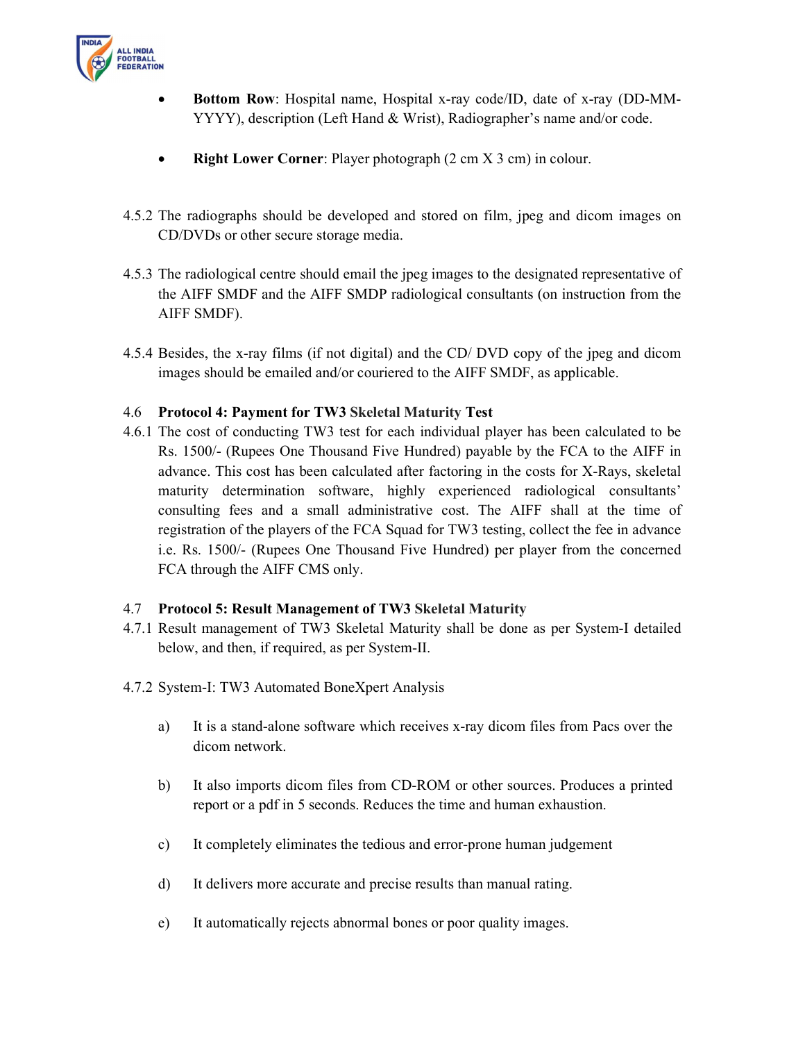

- Bottom Row: Hospital name, Hospital x-ray code/ID, date of x-ray (DD-MM-YYYY), description (Left Hand & Wrist), Radiographer's name and/or code.
- Right Lower Corner: Player photograph  $(2 \text{ cm } X 3 \text{ cm})$  in colour.
- 4.5.2 The radiographs should be developed and stored on film, jpeg and dicom images on CD/DVDs or other secure storage media.
- 4.5.3 The radiological centre should email the jpeg images to the designated representative of the AIFF SMDF and the AIFF SMDP radiological consultants (on instruction from the AIFF SMDF).
- 4.5.4 Besides, the x-ray films (if not digital) and the CD/ DVD copy of the jpeg and dicom images should be emailed and/or couriered to the AIFF SMDF, as applicable.

### 4.6 Protocol 4: Payment for TW3 Skeletal Maturity Test

4.6.1 The cost of conducting TW3 test for each individual player has been calculated to be Rs. 1500/- (Rupees One Thousand Five Hundred) payable by the FCA to the AIFF in advance. This cost has been calculated after factoring in the costs for X-Rays, skeletal maturity determination software, highly experienced radiological consultants' consulting fees and a small administrative cost. The AIFF shall at the time of registration of the players of the FCA Squad for TW3 testing, collect the fee in advance i.e. Rs. 1500/- (Rupees One Thousand Five Hundred) per player from the concerned FCA through the AIFF CMS only.

#### 4.7 Protocol 5: Result Management of TW3 Skeletal Maturity

- 4.7.1 Result management of TW3 Skeletal Maturity shall be done as per System-I detailed below, and then, if required, as per System-II.
- 4.7.2 System-I: TW3 Automated BoneXpert Analysis
	- a) It is a stand-alone software which receives x-ray dicom files from Pacs over the dicom network.
	- b) It also imports dicom files from CD-ROM or other sources. Produces a printed report or a pdf in 5 seconds. Reduces the time and human exhaustion.
	- c) It completely eliminates the tedious and error-prone human judgement
	- d) It delivers more accurate and precise results than manual rating.
	- e) It automatically rejects abnormal bones or poor quality images.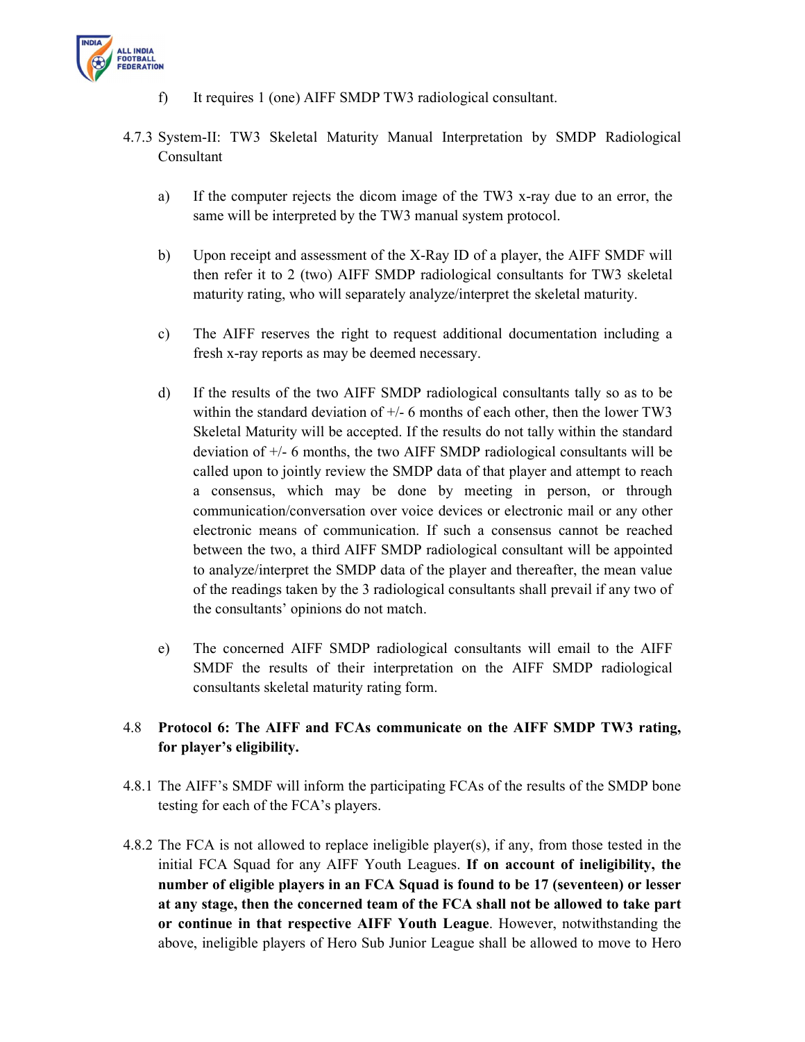

- f) It requires 1 (one) AIFF SMDP TW3 radiological consultant.
- 4.7.3 System-II: TW3 Skeletal Maturity Manual Interpretation by SMDP Radiological Consultant
	- a) If the computer rejects the dicom image of the TW3 x-ray due to an error, the same will be interpreted by the TW3 manual system protocol.
	- b) Upon receipt and assessment of the X-Ray ID of a player, the AIFF SMDF will then refer it to 2 (two) AIFF SMDP radiological consultants for TW3 skeletal maturity rating, who will separately analyze/interpret the skeletal maturity.
	- c) The AIFF reserves the right to request additional documentation including a fresh x-ray reports as may be deemed necessary.
	- d) If the results of the two AIFF SMDP radiological consultants tally so as to be within the standard deviation of  $+/-$  6 months of each other, then the lower TW3 Skeletal Maturity will be accepted. If the results do not tally within the standard deviation of +/- 6 months, the two AIFF SMDP radiological consultants will be called upon to jointly review the SMDP data of that player and attempt to reach a consensus, which may be done by meeting in person, or through communication/conversation over voice devices or electronic mail or any other electronic means of communication. If such a consensus cannot be reached between the two, a third AIFF SMDP radiological consultant will be appointed to analyze/interpret the SMDP data of the player and thereafter, the mean value of the readings taken by the 3 radiological consultants shall prevail if any two of the consultants' opinions do not match.
	- e) The concerned AIFF SMDP radiological consultants will email to the AIFF SMDF the results of their interpretation on the AIFF SMDP radiological consultants skeletal maturity rating form.

# 4.8 Protocol 6: The AIFF and FCAs communicate on the AIFF SMDP TW3 rating, for player's eligibility.

- 4.8.1 The AIFF's SMDF will inform the participating FCAs of the results of the SMDP bone testing for each of the FCA's players.
- 4.8.2 The FCA is not allowed to replace ineligible player(s), if any, from those tested in the initial FCA Squad for any AIFF Youth Leagues. If on account of ineligibility, the number of eligible players in an FCA Squad is found to be 17 (seventeen) or lesser at any stage, then the concerned team of the FCA shall not be allowed to take part or continue in that respective AIFF Youth League. However, notwithstanding the above, ineligible players of Hero Sub Junior League shall be allowed to move to Hero